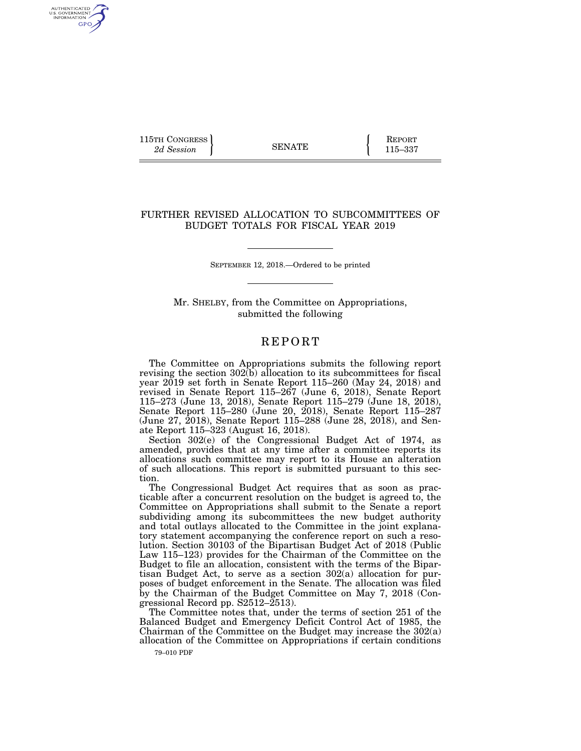115TH CONGRESS **REPORT** 2d Session **115–337** 

AUTHENTICATED<br>U.S. GOVERNMENT<br>INFORMATION GPO

## FURTHER REVISED ALLOCATION TO SUBCOMMITTEES OF BUDGET TOTALS FOR FISCAL YEAR 2019

SEPTEMBER 12, 2018.—Ordered to be printed

Mr. SHELBY, from the Committee on Appropriations, submitted the following

## **REPORT**

The Committee on Appropriations submits the following report revising the section  $302(b)$  allocation to its subcommittees for fiscal year 2019 set forth in Senate Report 115–260 (May 24, 2018) and revised in Senate Report 115–267 (June 6, 2018), Senate Report 115–273 (June 13, 2018), Senate Report 115–279 (June 18, 2018), Senate Report 115–280 (June 20, 2018), Senate Report 115–287 (June 27, 2018), Senate Report 115–288 (June 28, 2018), and Senate Report 115–323 (August 16, 2018).

Section 302(e) of the Congressional Budget Act of 1974, as amended, provides that at any time after a committee reports its allocations such committee may report to its House an alteration of such allocations. This report is submitted pursuant to this section.

The Congressional Budget Act requires that as soon as practicable after a concurrent resolution on the budget is agreed to, the Committee on Appropriations shall submit to the Senate a report subdividing among its subcommittees the new budget authority and total outlays allocated to the Committee in the joint explanatory statement accompanying the conference report on such a resolution. Section 30103 of the Bipartisan Budget Act of 2018 (Public Law 115–123) provides for the Chairman of the Committee on the Budget to file an allocation, consistent with the terms of the Bipartisan Budget Act, to serve as a section 302(a) allocation for purposes of budget enforcement in the Senate. The allocation was filed by the Chairman of the Budget Committee on May 7, 2018 (Congressional Record pp.  $S2512-\bar{2}513$ ).

The Committee notes that, under the terms of section 251 of the Balanced Budget and Emergency Deficit Control Act of 1985, the Chairman of the Committee on the Budget may increase the 302(a) allocation of the Committee on Appropriations if certain conditions

79–010 PDF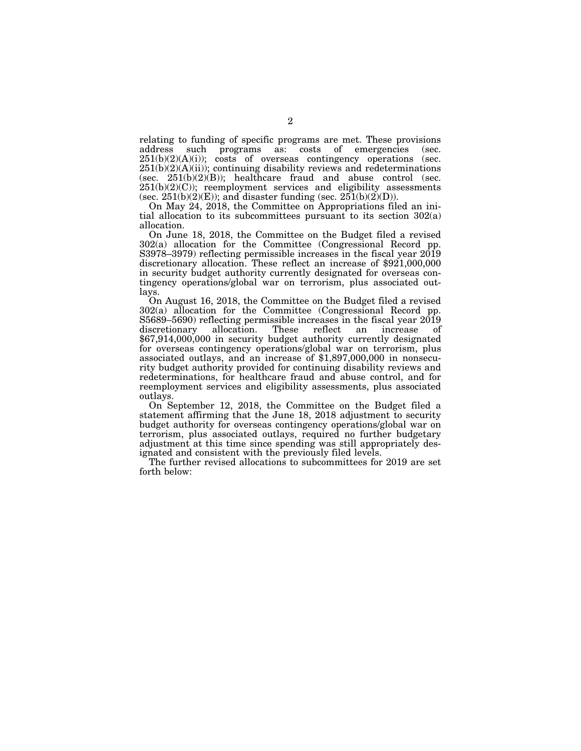relating to funding of specific programs are met. These provisions address such programs as: costs of emergencies (sec. such programs as: costs of emergencies (sec.  $251(b)(2)(A)(i)$ ; costs of overseas contingency operations (sec.  $251(b)(2)(A)(ii)$ ; continuing disability reviews and redeterminations (sec.  $251(b)(2)(B)$ ); healthcare fraud and abuse control (sec.  $251(b)(2)(C)$ ; reemployment services and eligibility assessments (sec. 251(b)(2)(E)); and disaster funding (sec. 251(b)(2)(D)).

On May 24, 2018, the Committee on Appropriations filed an initial allocation to its subcommittees pursuant to its section 302(a) allocation.

On June 18, 2018, the Committee on the Budget filed a revised 302(a) allocation for the Committee (Congressional Record pp. S3978–3979) reflecting permissible increases in the fiscal year 2019 discretionary allocation. These reflect an increase of \$921,000,000 in security budget authority currently designated for overseas contingency operations/global war on terrorism, plus associated outlays.

On August 16, 2018, the Committee on the Budget filed a revised 302(a) allocation for the Committee (Congressional Record pp. S5689–5690) reflecting permissible increases in the fiscal year 2019 discretionary allocation. These reflect an increase of \$67,914,000,000 in security budget authority currently designated for overseas contingency operations/global war on terrorism, plus associated outlays, and an increase of \$1,897,000,000 in nonsecurity budget authority provided for continuing disability reviews and redeterminations, for healthcare fraud and abuse control, and for reemployment services and eligibility assessments, plus associated outlays.

On September 12, 2018, the Committee on the Budget filed a statement affirming that the June 18, 2018 adjustment to security budget authority for overseas contingency operations/global war on terrorism, plus associated outlays, required no further budgetary adjustment at this time since spending was still appropriately designated and consistent with the previously filed levels.

The further revised allocations to subcommittees for 2019 are set forth below: